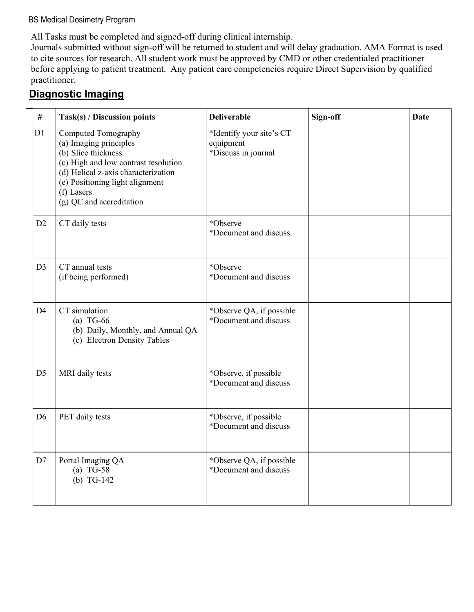#### BS Medical Dosimetry Program

All Tasks must be completed and signed-off during clinical internship.

Journals submitted without sign-off will be returned to student and will delay graduation. AMA Format is used to cite sources for research. All student work must be approved by CMD or other credentialed practitioner before applying to patient treatment. Any patient care competencies require Direct Supervision by qualified practitioner.

#### **Diagnostic Imaging**

| $\#$           | Task(s) / Discussion points                                                                                                                                                                                                      | <b>Deliverable</b>                                           | Sign-off | <b>Date</b> |
|----------------|----------------------------------------------------------------------------------------------------------------------------------------------------------------------------------------------------------------------------------|--------------------------------------------------------------|----------|-------------|
| D1             | Computed Tomography<br>(a) Imaging principles<br>(b) Slice thickness<br>(c) High and low contrast resolution<br>(d) Helical z-axis characterization<br>(e) Positioning light alignment<br>(f) Lasers<br>(g) QC and accreditation | *Identify your site's CT<br>equipment<br>*Discuss in journal |          |             |
| D2             | CT daily tests                                                                                                                                                                                                                   | *Observe<br>*Document and discuss                            |          |             |
| D3             | CT annual tests<br>(if being performed)                                                                                                                                                                                          | *Observe<br>*Document and discuss                            |          |             |
| D <sub>4</sub> | CT simulation<br>$(a)$ TG-66<br>(b) Daily, Monthly, and Annual QA<br>(c) Electron Density Tables                                                                                                                                 | *Observe QA, if possible<br>*Document and discuss            |          |             |
| D <sub>5</sub> | MRI daily tests                                                                                                                                                                                                                  | *Observe, if possible<br>*Document and discuss               |          |             |
| D <sub>6</sub> | PET daily tests                                                                                                                                                                                                                  | *Observe, if possible<br>*Document and discuss               |          |             |
| D7             | Portal Imaging QA<br>(a) $TG-58$<br>(b) $TG-142$                                                                                                                                                                                 | *Observe QA, if possible<br>*Document and discuss            |          |             |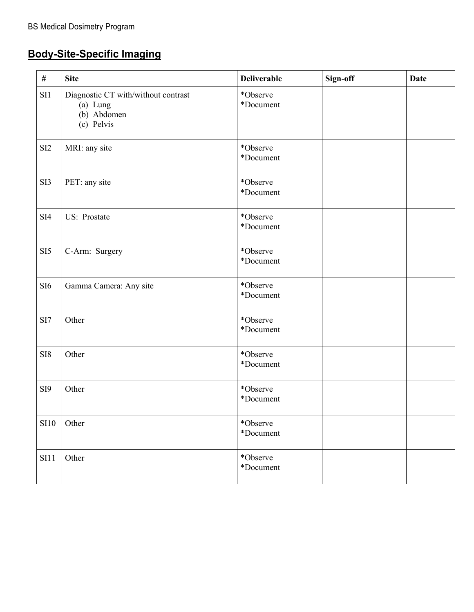# **Body-Site-Specific Imaging**

| #               | <b>Site</b>                                                                  | <b>Deliverable</b>    | Sign-off | <b>Date</b> |
|-----------------|------------------------------------------------------------------------------|-----------------------|----------|-------------|
| SI1             | Diagnostic CT with/without contrast<br>(a) Lung<br>(b) Abdomen<br>(c) Pelvis | *Observe<br>*Document |          |             |
| SI <sub>2</sub> | MRI: any site                                                                | *Observe<br>*Document |          |             |
| SI3             | PET: any site                                                                | *Observe<br>*Document |          |             |
| SI4             | US: Prostate                                                                 | *Observe<br>*Document |          |             |
| SI <sub>5</sub> | C-Arm: Surgery                                                               | *Observe<br>*Document |          |             |
| SI <sub>6</sub> | Gamma Camera: Any site                                                       | *Observe<br>*Document |          |             |
| SI7             | Other                                                                        | *Observe<br>*Document |          |             |
| SI <sub>8</sub> | Other                                                                        | *Observe<br>*Document |          |             |
| SI <sub>9</sub> | Other                                                                        | *Observe<br>*Document |          |             |
| <b>SI10</b>     | Other                                                                        | *Observe<br>*Document |          |             |
| SI11            | Other                                                                        | *Observe<br>*Document |          |             |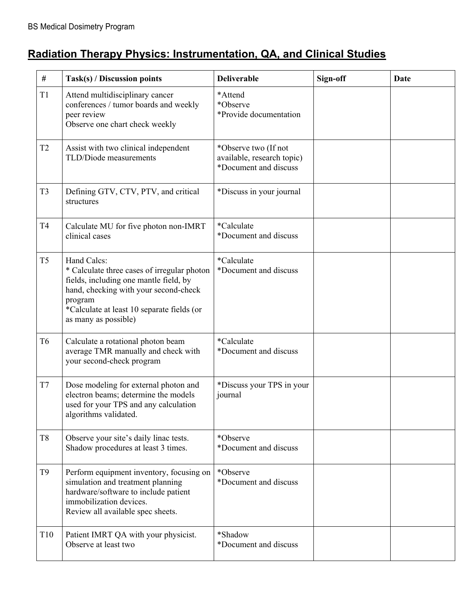# **Radiation Therapy Physics: Instrumentation, QA, and Clinical Studies**

| #              | Task(s) / Discussion points                                                                                                                                                                                                    | <b>Deliverable</b>                                                          | Sign-off | Date |
|----------------|--------------------------------------------------------------------------------------------------------------------------------------------------------------------------------------------------------------------------------|-----------------------------------------------------------------------------|----------|------|
| T1             | Attend multidisciplinary cancer<br>conferences / tumor boards and weekly<br>peer review<br>Observe one chart check weekly                                                                                                      | *Attend<br>*Observe<br>*Provide documentation                               |          |      |
| T <sub>2</sub> | Assist with two clinical independent<br>TLD/Diode measurements                                                                                                                                                                 | *Observe two (If not<br>available, research topic)<br>*Document and discuss |          |      |
| T <sub>3</sub> | Defining GTV, CTV, PTV, and critical<br>structures                                                                                                                                                                             | *Discuss in your journal                                                    |          |      |
| T <sub>4</sub> | Calculate MU for five photon non-IMRT<br>clinical cases                                                                                                                                                                        | *Calculate<br>*Document and discuss                                         |          |      |
| T <sub>5</sub> | Hand Calcs:<br>* Calculate three cases of irregular photon<br>fields, including one mantle field, by<br>hand, checking with your second-check<br>program<br>*Calculate at least 10 separate fields (or<br>as many as possible) | *Calculate<br>*Document and discuss                                         |          |      |
| T <sub>6</sub> | Calculate a rotational photon beam<br>average TMR manually and check with<br>your second-check program                                                                                                                         | *Calculate<br>*Document and discuss                                         |          |      |
| T7             | Dose modeling for external photon and<br>electron beams; determine the models<br>used for your TPS and any calculation<br>algorithms validated.                                                                                | *Discuss your TPS in your<br>journal                                        |          |      |
| T <sub>8</sub> | Observe your site's daily linac tests.<br>Shadow procedures at least 3 times.                                                                                                                                                  | *Observe<br>*Document and discuss                                           |          |      |
| T <sub>9</sub> | Perform equipment inventory, focusing on<br>simulation and treatment planning<br>hardware/software to include patient<br>immobilization devices.<br>Review all available spec sheets.                                          | *Observe<br>*Document and discuss                                           |          |      |
| T10            | Patient IMRT QA with your physicist.<br>Observe at least two                                                                                                                                                                   | *Shadow<br>*Document and discuss                                            |          |      |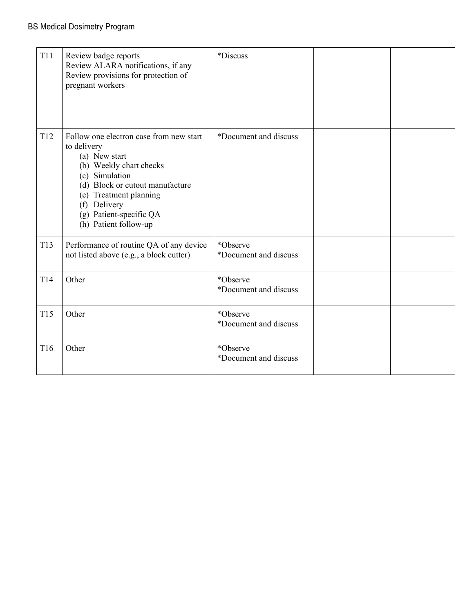| <b>T11</b>      | Review badge reports<br>Review ALARA notifications, if any<br>Review provisions for protection of<br>pregnant workers                                                                                                                                 | <i>*Discuss</i>                   |  |
|-----------------|-------------------------------------------------------------------------------------------------------------------------------------------------------------------------------------------------------------------------------------------------------|-----------------------------------|--|
| T <sub>12</sub> | Follow one electron case from new start<br>to delivery<br>(a) New start<br>(b) Weekly chart checks<br>(c) Simulation<br>(d) Block or cutout manufacture<br>(e) Treatment planning<br>(f) Delivery<br>(g) Patient-specific QA<br>(h) Patient follow-up | *Document and discuss             |  |
| T13             | Performance of routine QA of any device<br>not listed above (e.g., a block cutter)                                                                                                                                                                    | *Observe<br>*Document and discuss |  |
| T14             | Other                                                                                                                                                                                                                                                 | *Observe<br>*Document and discuss |  |
| T15             | Other                                                                                                                                                                                                                                                 | *Observe<br>*Document and discuss |  |
| T16             | Other                                                                                                                                                                                                                                                 | *Observe<br>*Document and discuss |  |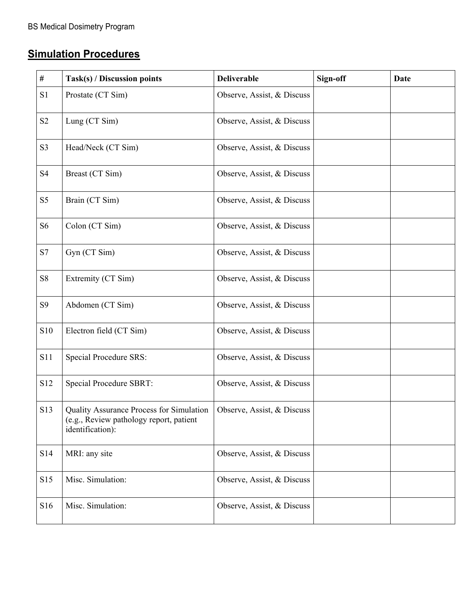# **Simulation Procedures**

| $\#$           | Task(s) / Discussion points                                                                             | <b>Deliverable</b>         | Sign-off | <b>Date</b> |
|----------------|---------------------------------------------------------------------------------------------------------|----------------------------|----------|-------------|
| S1             | Prostate (CT Sim)                                                                                       | Observe, Assist, & Discuss |          |             |
| S <sub>2</sub> | Lung (CT Sim)                                                                                           | Observe, Assist, & Discuss |          |             |
| S <sub>3</sub> | Head/Neck (CT Sim)                                                                                      | Observe, Assist, & Discuss |          |             |
| S <sub>4</sub> | Breast (CT Sim)                                                                                         | Observe, Assist, & Discuss |          |             |
| S <sub>5</sub> | Brain (CT Sim)                                                                                          | Observe, Assist, & Discuss |          |             |
| S <sub>6</sub> | Colon (CT Sim)                                                                                          | Observe, Assist, & Discuss |          |             |
| S7             | Gyn (CT Sim)                                                                                            | Observe, Assist, & Discuss |          |             |
| ${\bf S8}$     | Extremity (CT Sim)                                                                                      | Observe, Assist, & Discuss |          |             |
| S <sub>9</sub> | Abdomen (CT Sim)                                                                                        | Observe, Assist, & Discuss |          |             |
| S10            | Electron field (CT Sim)                                                                                 | Observe, Assist, & Discuss |          |             |
| S11            | <b>Special Procedure SRS:</b>                                                                           | Observe, Assist, & Discuss |          |             |
| S12            | Special Procedure SBRT:                                                                                 | Observe, Assist, & Discuss |          |             |
| S13            | Quality Assurance Process for Simulation<br>(e.g., Review pathology report, patient<br>identification): | Observe, Assist, & Discuss |          |             |
| S14            | MRI: any site                                                                                           | Observe, Assist, & Discuss |          |             |
| S15            | Misc. Simulation:                                                                                       | Observe, Assist, & Discuss |          |             |
| S16            | Misc. Simulation:                                                                                       | Observe, Assist, & Discuss |          |             |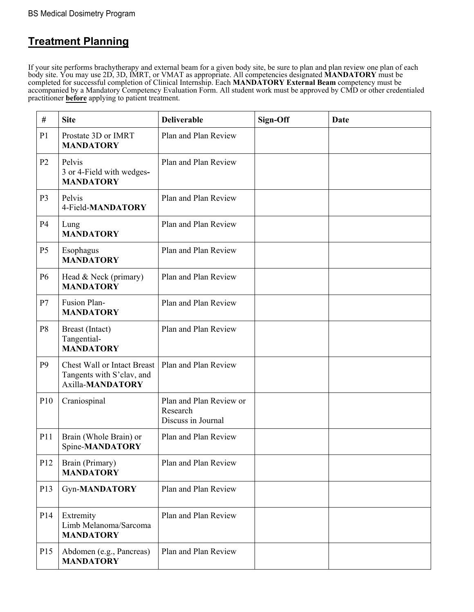#### **Treatment Planning**

If your site performs brachytherapy and external beam for a given body site, be sure to plan and plan review one plan of each body site. You may use 2D, 3D, IMRT, or VMAT as appropriate. All competencies designated **MANDATORY** must be completed for successful completion of Clinical Internship. Each **MANDATORY External Beam** competency must be accompanied by a Mandatory Competency Evaluation Form. All student work must be approved by CMD or other credentialed practitioner **before** applying to patient treatment.

| #              | <b>Site</b>                                                                         | <b>Deliverable</b>                                        | Sign-Off | <b>Date</b> |
|----------------|-------------------------------------------------------------------------------------|-----------------------------------------------------------|----------|-------------|
| P <sub>1</sub> | Prostate 3D or IMRT<br><b>MANDATORY</b>                                             | Plan and Plan Review                                      |          |             |
| P <sub>2</sub> | Pelvis<br>3 or 4-Field with wedges-<br><b>MANDATORY</b>                             | Plan and Plan Review                                      |          |             |
| P <sub>3</sub> | Pelvis<br>4-Field-MANDATORY                                                         | Plan and Plan Review                                      |          |             |
| <b>P4</b>      | Lung<br><b>MANDATORY</b>                                                            | Plan and Plan Review                                      |          |             |
| P <sub>5</sub> | Esophagus<br><b>MANDATORY</b>                                                       | Plan and Plan Review                                      |          |             |
| P <sub>6</sub> | Head & Neck (primary)<br><b>MANDATORY</b>                                           | Plan and Plan Review                                      |          |             |
| P7             | Fusion Plan-<br><b>MANDATORY</b>                                                    | Plan and Plan Review                                      |          |             |
| P <sub>8</sub> | Breast (Intact)<br>Tangential-<br><b>MANDATORY</b>                                  | Plan and Plan Review                                      |          |             |
| P <sub>9</sub> | <b>Chest Wall or Intact Breast</b><br>Tangents with S'clav, and<br>Axilla-MANDATORY | Plan and Plan Review                                      |          |             |
| P10            | Craniospinal                                                                        | Plan and Plan Review or<br>Research<br>Discuss in Journal |          |             |
| P11            | Brain (Whole Brain) or<br>Spine-MANDATORY                                           | Plan and Plan Review                                      |          |             |
| P12            | Brain (Primary)<br><b>MANDATORY</b>                                                 | Plan and Plan Review                                      |          |             |
| P13            | <b>Gyn-MANDATORY</b>                                                                | Plan and Plan Review                                      |          |             |
| P14            | Extremity<br>Limb Melanoma/Sarcoma<br><b>MANDATORY</b>                              | Plan and Plan Review                                      |          |             |
| P15            | Abdomen (e.g., Pancreas)<br><b>MANDATORY</b>                                        | Plan and Plan Review                                      |          |             |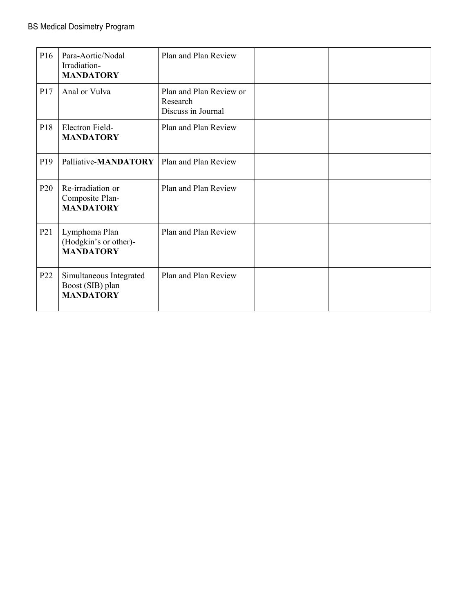| P <sub>16</sub> | Para-Aortic/Nodal<br>Irradiation-<br><b>MANDATORY</b>           | Plan and Plan Review                                      |  |
|-----------------|-----------------------------------------------------------------|-----------------------------------------------------------|--|
| P17             | Anal or Vulva                                                   | Plan and Plan Review or<br>Research<br>Discuss in Journal |  |
| P18             | Electron Field-<br><b>MANDATORY</b>                             | Plan and Plan Review                                      |  |
| P <sub>19</sub> | Palliative-MANDATORY                                            | Plan and Plan Review                                      |  |
| P <sub>20</sub> | Re-irradiation or<br>Composite Plan-<br><b>MANDATORY</b>        | Plan and Plan Review                                      |  |
| P <sub>21</sub> | Lymphoma Plan<br>(Hodgkin's or other)-<br><b>MANDATORY</b>      | Plan and Plan Review                                      |  |
| P <sub>22</sub> | Simultaneous Integrated<br>Boost (SIB) plan<br><b>MANDATORY</b> | Plan and Plan Review                                      |  |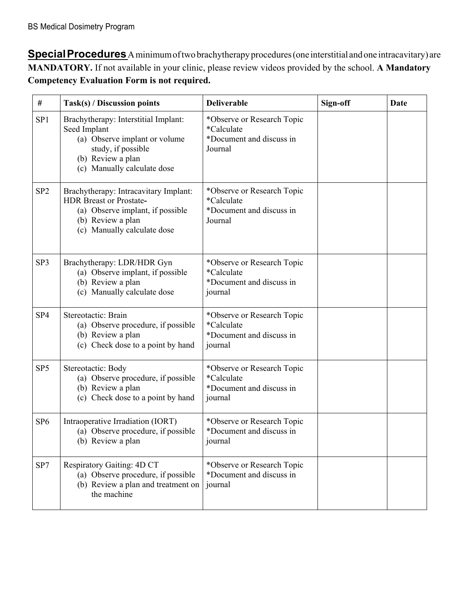**SpecialProcedures**A minimumoftwo brachytherapy procedures (one interstitial and one intracavitary) are **MANDATORY.** If not available in your clinic, please review videos provided by the school. **A Mandatory Competency Evaluation Form is not required.**

| #               | Task(s) / Discussion points                                                                                                                                     | <b>Deliverable</b>                                                              | Sign-off | Date |
|-----------------|-----------------------------------------------------------------------------------------------------------------------------------------------------------------|---------------------------------------------------------------------------------|----------|------|
| SP <sub>1</sub> | Brachytherapy: Interstitial Implant:<br>Seed Implant<br>(a) Observe implant or volume<br>study, if possible<br>(b) Review a plan<br>(c) Manually calculate dose | *Observe or Research Topic<br>*Calculate<br>*Document and discuss in<br>Journal |          |      |
| SP <sub>2</sub> | Brachytherapy: Intracavitary Implant:<br><b>HDR Breast or Prostate-</b><br>(a) Observe implant, if possible<br>(b) Review a plan<br>(c) Manually calculate dose | *Observe or Research Topic<br>*Calculate<br>*Document and discuss in<br>Journal |          |      |
| SP3             | Brachytherapy: LDR/HDR Gyn<br>(a) Observe implant, if possible<br>(b) Review a plan<br>(c) Manually calculate dose                                              | *Observe or Research Topic<br>*Calculate<br>*Document and discuss in<br>journal |          |      |
| SP <sub>4</sub> | Stereotactic: Brain<br>(a) Observe procedure, if possible<br>(b) Review a plan<br>(c) Check dose to a point by hand                                             | *Observe or Research Topic<br>*Calculate<br>*Document and discuss in<br>journal |          |      |
| SP <sub>5</sub> | Stereotactic: Body<br>(a) Observe procedure, if possible<br>(b) Review a plan<br>(c) Check dose to a point by hand                                              | *Observe or Research Topic<br>*Calculate<br>*Document and discuss in<br>journal |          |      |
| SP <sub>6</sub> | Intraoperative Irradiation (IORT)<br>(a) Observe procedure, if possible<br>(b) Review a plan                                                                    | *Observe or Research Topic<br>*Document and discuss in<br>journal               |          |      |
| SP7             | Respiratory Gaiting: 4D CT<br>(a) Observe procedure, if possible<br>(b) Review a plan and treatment on<br>the machine                                           | *Observe or Research Topic<br>*Document and discuss in<br>journal               |          |      |